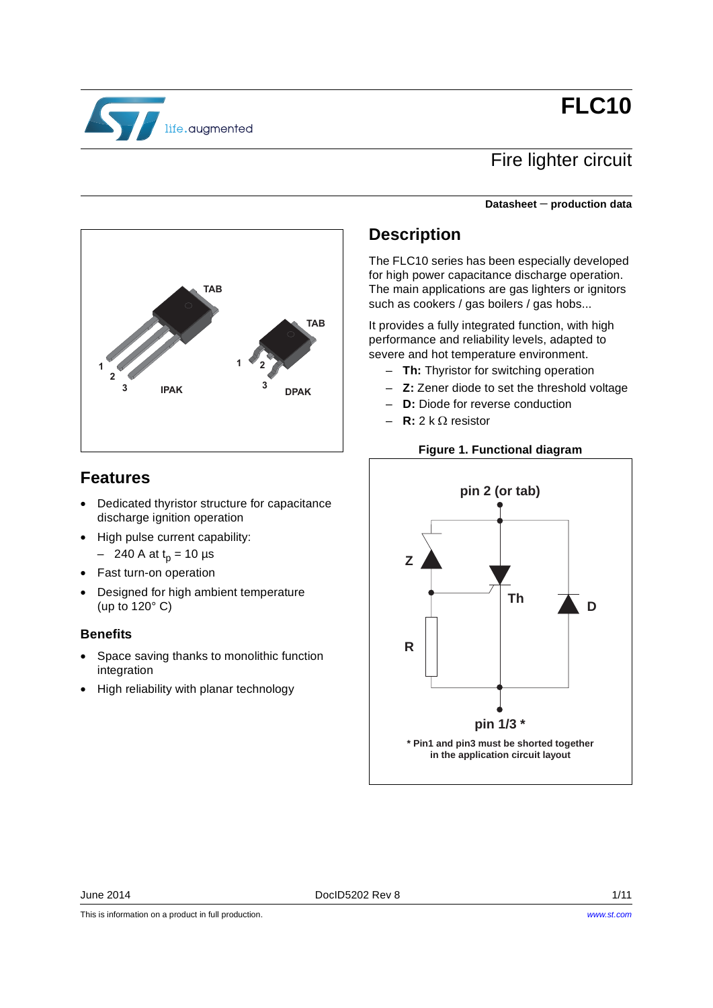# **FLC10**



## Fire lighter circuit

#### **Datasheet** − **production data**



### **Features**

- Dedicated thyristor structure for capacitance discharge ignition operation
- High pulse current capability:
	- 240 A at  $t_p$  = 10 µs
- Fast turn-on operation
- Designed for high ambient temperature (up to 120° C)

#### **Benefits**

- Space saving thanks to monolithic function integration
- High reliability with planar technology

### **Description**

The FLC10 series has been especially developed for high power capacitance discharge operation. The main applications are gas lighters or ignitors such as cookers / gas boilers / gas hobs...

It provides a fully integrated function, with high performance and reliability levels, adapted to severe and hot temperature environment.

- **Th:** Thyristor for switching operation
- **Z:** Zener diode to set the threshold voltage
- **D:** Diode for reverse conduction
- **R:** 2 k Ω resistor

#### **Figure 1. Functional diagram**



This is information on a product in full production.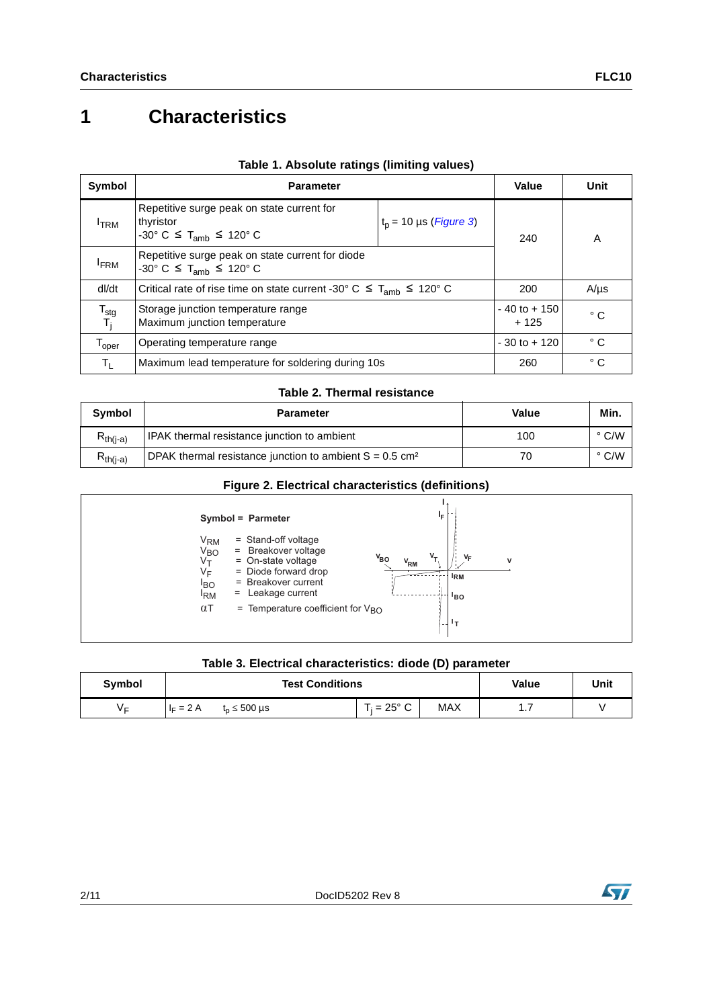## **1 Characteristics**

| Symbol                       | <b>Parameter</b>                                                                                                                             | Value                     | Unit         |   |
|------------------------------|----------------------------------------------------------------------------------------------------------------------------------------------|---------------------------|--------------|---|
| <b>ITRM</b>                  | Repetitive surge peak on state current for<br>$t_p$ = 10 µs ( <i>Figure 3</i> )<br>thyristor<br>-30° C $\leq$ T <sub>amb</sub> $\leq$ 120° C |                           | 240          | A |
| <b>FRM</b>                   | Repetitive surge peak on state current for diode<br>$-30^{\circ}$ C $\leq$ T <sub>amb</sub> $\leq$ 120° C                                    |                           |              |   |
| dl/dt                        | Critical rate of rise time on state current -30° C $\leq$ T <sub>amb</sub> $\leq$ 120° C                                                     | 200                       | $A/\mu s$    |   |
| $T_{\text{stg}}$<br>T,       | Storage junction temperature range<br>Maximum junction temperature                                                                           | $-40$ to $+150$<br>$+125$ | $^{\circ}$ C |   |
| $\mathsf{T}_{\mathsf{oper}}$ | Operating temperature range                                                                                                                  | $-30$ to $+120$           | $^{\circ}$ C |   |
| $T_{\rm L}$                  | Maximum lead temperature for soldering during 10s                                                                                            | 260                       | ° C          |   |

#### **Table 1. Absolute ratings (limiting values)**

#### **Table 2. Thermal resistance**

| Symbol        | <b>Parameter</b>                                                      | Value | Min.          |
|---------------|-----------------------------------------------------------------------|-------|---------------|
| $R_{th(i-a)}$ | IPAK thermal resistance junction to ambient                           | 100   | $\degree$ C/W |
| $Rth(i-a)$    | DPAK thermal resistance junction to ambient $S = 0.5$ cm <sup>2</sup> | 70    | $\degree$ C/W |

#### **Figure 2. Electrical characteristics (definitions)**



#### **Table 3. Electrical characteristics: diode (D) parameter**

| Symbol |             | <b>Test Conditions</b> |  |               |     | Value | Unit |
|--------|-------------|------------------------|--|---------------|-----|-------|------|
| ∨⊏     | $I_F = 2 A$ | ໌ 500 µs<br>$n =$      |  | $T_i$ = 25° C | MAX | .     |      |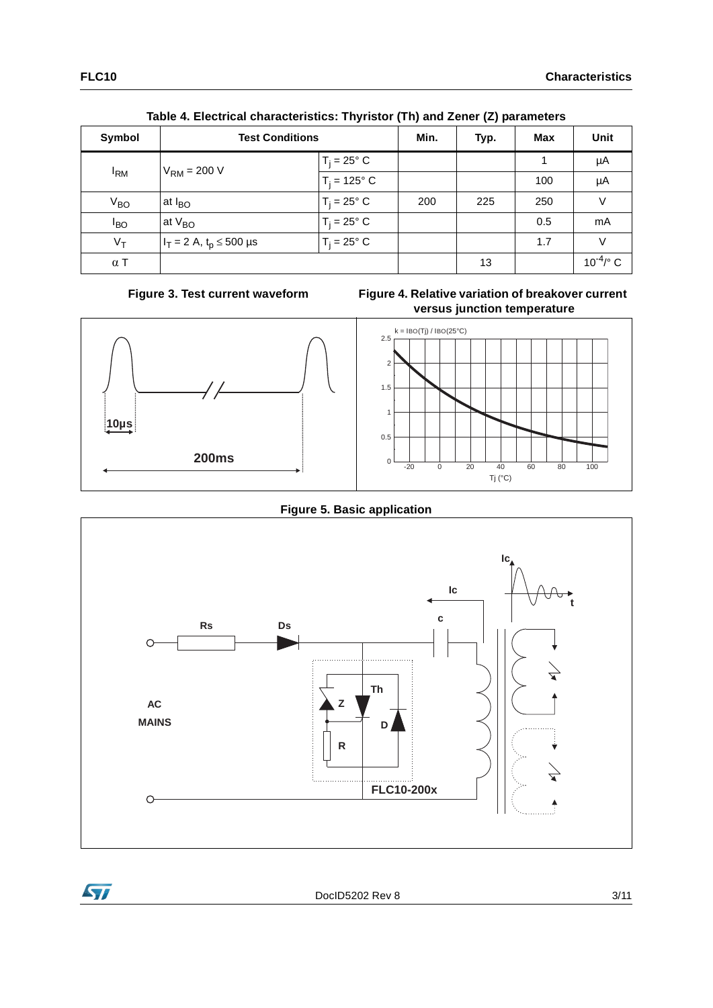|                   | $1000$ +. Libbindar briandbibliotics. Then istory (The and Londr (L) parameters |                      |      |      |     |                         |
|-------------------|---------------------------------------------------------------------------------|----------------------|------|------|-----|-------------------------|
| Symbol            | <b>Test Conditions</b>                                                          |                      | Min. | Typ. | Max | Unit                    |
|                   | $V_{\rm RM}$ = 200 V                                                            | $T_i = 25^\circ$ C   |      |      |     | μA                      |
| $I_{\mathsf{RM}}$ |                                                                                 | $T_i = 125^\circ C$  |      |      | 100 | μA                      |
| $V_{BO}$          | at $I_{BO}$                                                                     | $T_i = 25^\circ$ C   | 200  | 225  | 250 | V                       |
| $I_{BO}$          | at $V_{BO}$                                                                     | $T_i = 25^\circ$ C   |      |      | 0.5 | mA                      |
| $V_T$             | $I_T = 2$ A, t <sub>p</sub> $\leq$ 500 µs                                       | $T_i = 25^{\circ} C$ |      |      | 1.7 | $\vee$                  |
| $\alpha$ T        |                                                                                 |                      |      | 13   |     | $10^{-4}$ / $\degree$ C |

**Table 4. Electrical characteristics: Thyristor (Th) and Zener (Z) parameters**

Figure 3. Test current waveform

<span id="page-2-1"></span>

<span id="page-2-0"></span>

**Figure 5. Basic application**



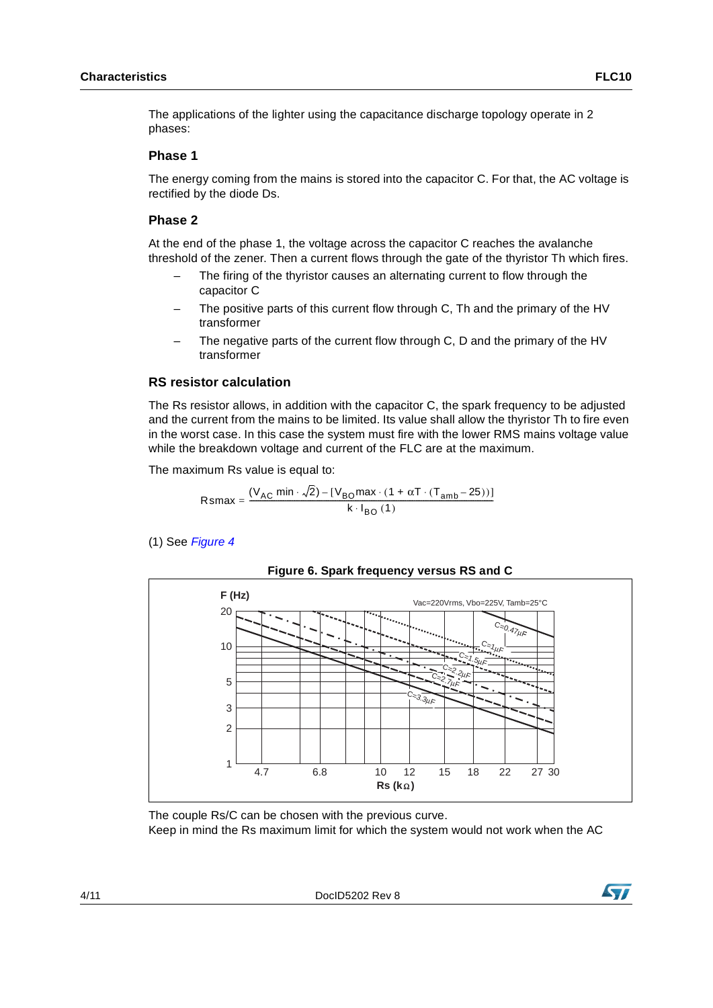The applications of the lighter using the capacitance discharge topology operate in 2 phases:

#### **Phase 1**

The energy coming from the mains is stored into the capacitor C. For that, the AC voltage is rectified by the diode Ds.

#### **Phase 2**

At the end of the phase 1, the voltage across the capacitor C reaches the avalanche threshold of the zener. Then a current flows through the gate of the thyristor Th which fires.

- The firing of the thyristor causes an alternating current to flow through the capacitor C
- The positive parts of this current flow through C, Th and the primary of the HV transformer
- The negative parts of the current flow through C, D and the primary of the HV transformer

#### **RS resistor calculation**

The Rs resistor allows, in addition with the capacitor C, the spark frequency to be adjusted and the current from the mains to be limited. Its value shall allow the thyristor Th to fire even in the worst case. In this case the system must fire with the lower RMS mains voltage value while the breakdown voltage and current of the FLC are at the maximum.

The maximum Rs value is equal to:

$$
Rsmax = \frac{(V_{AC} \text{ min} \cdot \sqrt{2}) - [V_{BO} \text{ max} \cdot (1 + \alpha T \cdot (T_{amb} - 25))]}{k \cdot I_{BO}(1)}
$$

(1) See *[Figure 4](#page-2-1)*



**Figure 6. Spark frequency versus RS and C**

4/11 DocID5202 Rev 8



The couple Rs/C can be chosen with the previous curve. Keep in mind the Rs maximum limit for which the system would not work when the AC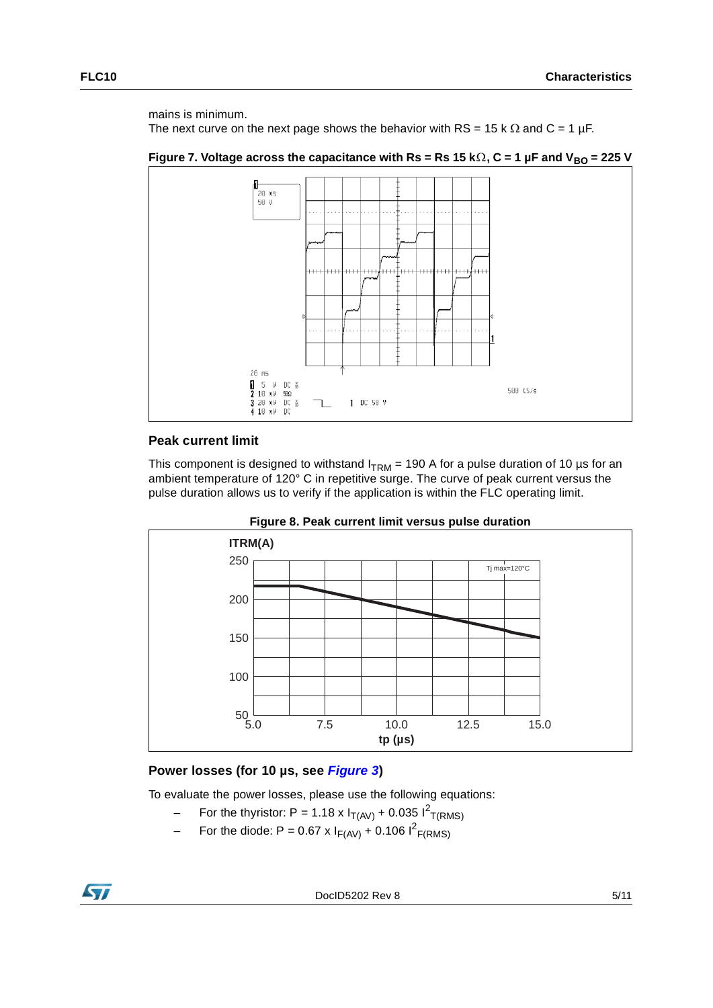mains is minimum.

The next curve on the next page shows the behavior with RS = 15 k  $\Omega$  and C = 1 µF.

**Figure 7. Voltage across the capacitance with Rs = Rs 15 kΩ, C = 1 µF and V<sub>BO</sub> = 225 V** 



#### **Peak current limit**

This component is designed to withstand  $I_{TRM}$  = 190 A for a pulse duration of 10 µs for an ambient temperature of 120° C in repetitive surge. The curve of peak current versus the pulse duration allows us to verify if the application is within the FLC operating limit.





#### **Power losses (for 10 µs, see** *[Figure 3](#page-2-0)***)**

To evaluate the power losses, please use the following equations:

- For the thyristor: P = 1.18 x  $I_{T(AV)}$  + 0.035  $I^{2}$ <sub>T(RMS)</sub>
- For the diode: P = 0.67 x  $I_{F(AV)}$  + 0.106  $I^2_{F(RMS)}$

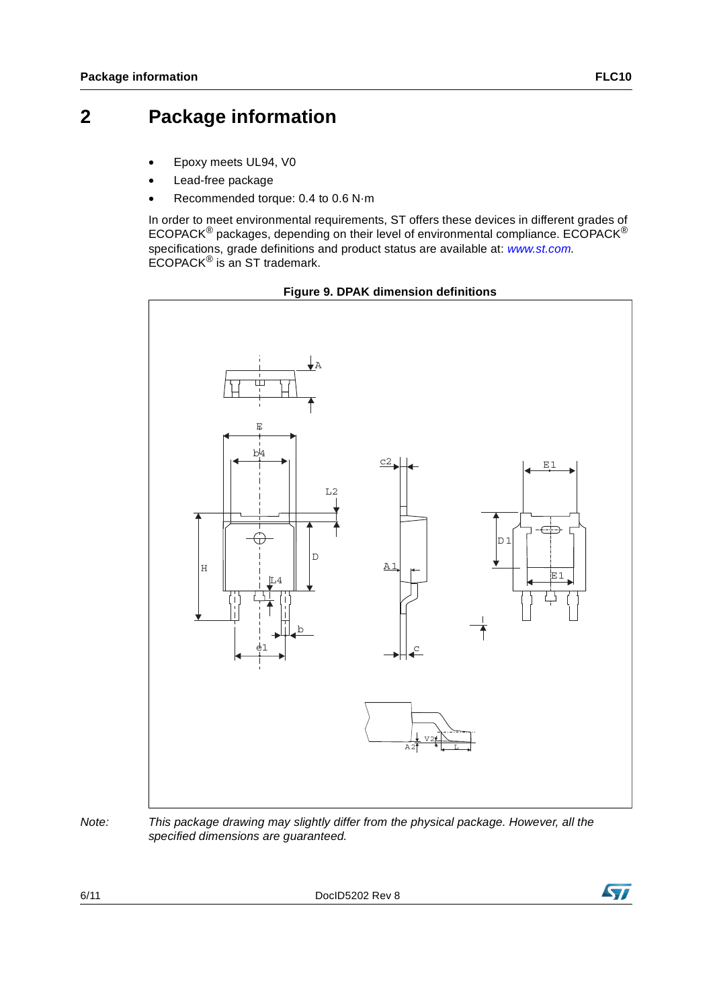### **2 Package information**

- Epoxy meets UL94, V0
- Lead-free package
- Recommended torque: 0.4 to 0.6 N·m

In order to meet environmental requirements, ST offers these devices in different grades of ECOPACK® packages, depending on their level of environmental compliance. ECOPACK® specifications, grade definitions and product status are available at: *[www.st.com](http://www.st.com).* ECOPACK® is an ST trademark.



#### **Figure 9. DPAK dimension definitions**

*Note: This package drawing may slightly differ from the physical package. However, all the specified dimensions are guaranteed.*

6/11 DocID5202 Rev 8

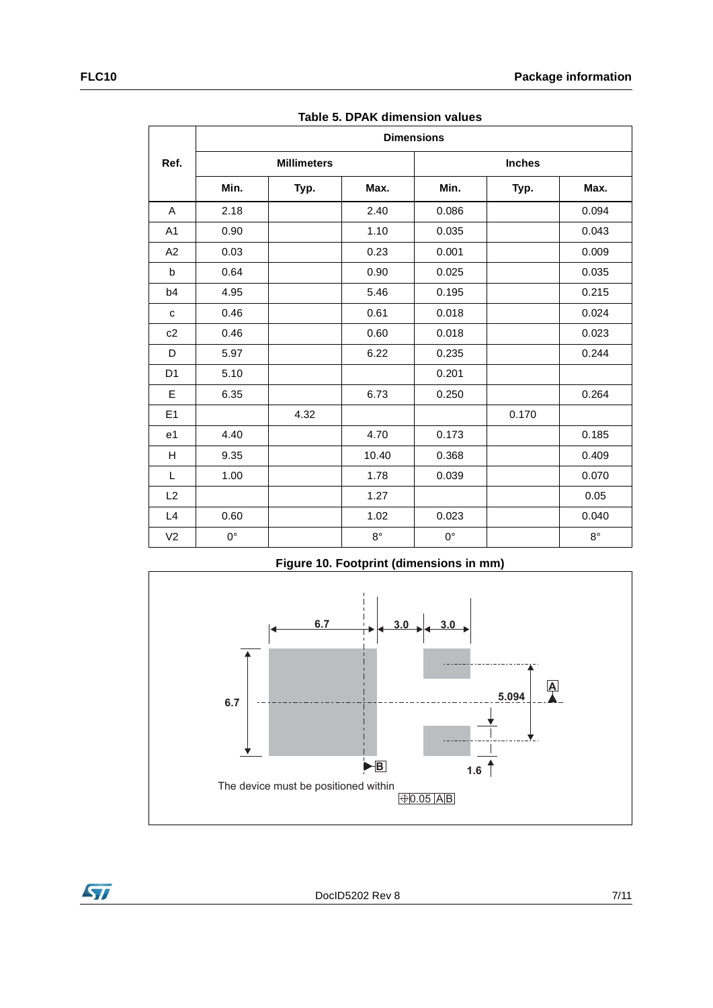|                | <b>Dimensions</b> |                    |             |             |               |             |  |  |
|----------------|-------------------|--------------------|-------------|-------------|---------------|-------------|--|--|
| Ref.           |                   | <b>Millimeters</b> |             |             | <b>Inches</b> |             |  |  |
|                | Min.              | Typ.               | Max.        | Min.        | Typ.          | Max.        |  |  |
| A              | 2.18              |                    | 2.40        | 0.086       |               | 0.094       |  |  |
| A1             | 0.90              |                    | 1.10        | 0.035       |               | 0.043       |  |  |
| A2             | 0.03              |                    | 0.23        | 0.001       |               | 0.009       |  |  |
| b              | 0.64              |                    | 0.90        | 0.025       |               | 0.035       |  |  |
| b4             | 4.95              |                    | 5.46        | 0.195       |               | 0.215       |  |  |
| ${\bf c}$      | 0.46              |                    | 0.61        | 0.018       |               | 0.024       |  |  |
| c2             | 0.46              |                    | 0.60        | 0.018       |               | 0.023       |  |  |
| D              | 5.97              |                    | 6.22        | 0.235       |               | 0.244       |  |  |
| D <sub>1</sub> | 5.10              |                    |             | 0.201       |               |             |  |  |
| Е              | 6.35              |                    | 6.73        | 0.250       |               | 0.264       |  |  |
| E <sub>1</sub> |                   | 4.32               |             |             | 0.170         |             |  |  |
| e <sub>1</sub> | 4.40              |                    | 4.70        | 0.173       |               | 0.185       |  |  |
| H              | 9.35              |                    | 10.40       | 0.368       |               | 0.409       |  |  |
| L              | 1.00              |                    | 1.78        | 0.039       |               | 0.070       |  |  |
| L2             |                   |                    | 1.27        |             |               | 0.05        |  |  |
| L4             | 0.60              |                    | 1.02        | 0.023       |               | 0.040       |  |  |
| V <sub>2</sub> | $0^{\circ}$       |                    | $8^{\circ}$ | $0^{\circ}$ |               | $8^{\circ}$ |  |  |

**Table 5. DPAK dimension values**



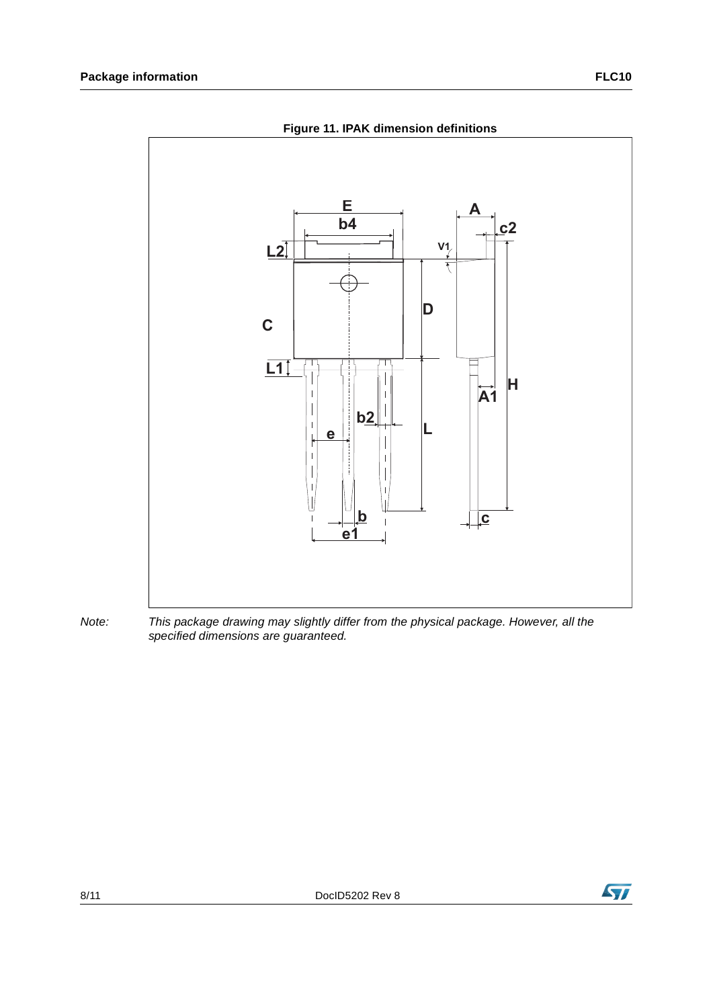

**Figure 11. IPAK dimension definitions**

*Note: This package drawing may slightly differ from the physical package. However, all the specified dimensions are guaranteed.*

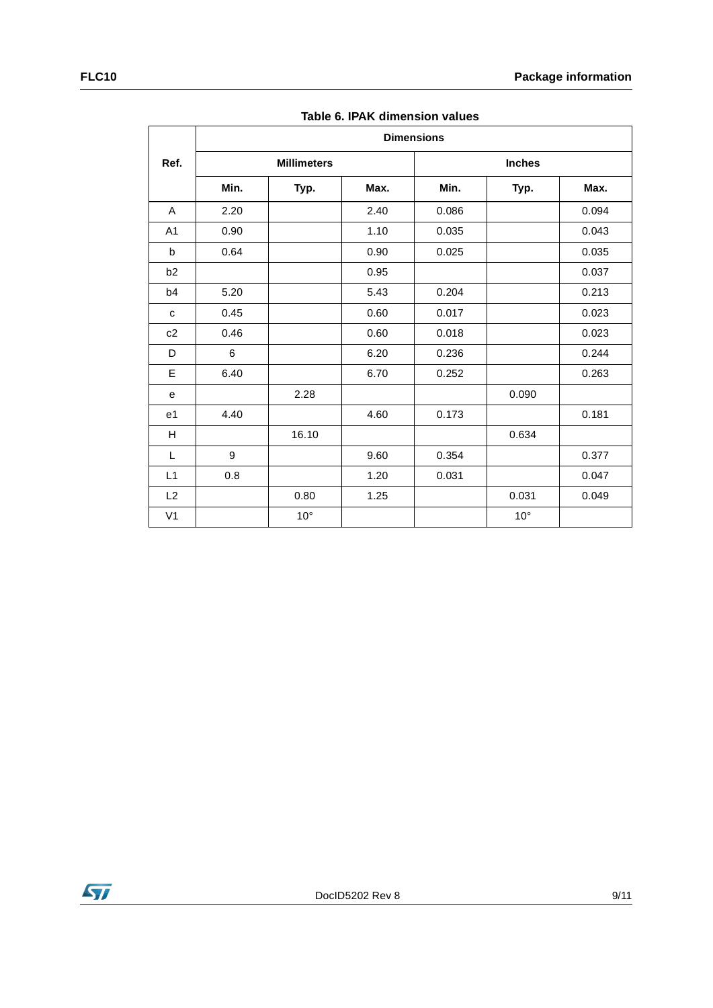|                | <b>Dimensions</b> |                    |      |       |               |       |  |
|----------------|-------------------|--------------------|------|-------|---------------|-------|--|
| Ref.           |                   | <b>Millimeters</b> |      |       | <b>Inches</b> |       |  |
|                | Min.              | Typ.               | Max. | Min.  | Typ.          | Max.  |  |
| A              | 2.20              |                    | 2.40 | 0.086 |               | 0.094 |  |
| A <sub>1</sub> | 0.90              |                    | 1.10 | 0.035 |               | 0.043 |  |
| b              | 0.64              |                    | 0.90 | 0.025 |               | 0.035 |  |
| b <sub>2</sub> |                   |                    | 0.95 |       |               | 0.037 |  |
| b4             | 5.20              |                    | 5.43 | 0.204 |               | 0.213 |  |
| c              | 0.45              |                    | 0.60 | 0.017 |               | 0.023 |  |
| c2             | 0.46              |                    | 0.60 | 0.018 |               | 0.023 |  |
| D              | 6                 |                    | 6.20 | 0.236 |               | 0.244 |  |
| E              | 6.40              |                    | 6.70 | 0.252 |               | 0.263 |  |
| e              |                   | 2.28               |      |       | 0.090         |       |  |
| e <sub>1</sub> | 4.40              |                    | 4.60 | 0.173 |               | 0.181 |  |
| H              |                   | 16.10              |      |       | 0.634         |       |  |
| L              | 9                 |                    | 9.60 | 0.354 |               | 0.377 |  |
| L1             | 0.8               |                    | 1.20 | 0.031 |               | 0.047 |  |
| L <sub>2</sub> |                   | 0.80               | 1.25 |       | 0.031         | 0.049 |  |
| V <sub>1</sub> |                   | $10^{\circ}$       |      |       | $10^{\circ}$  |       |  |

**Table 6. IPAK dimension values**

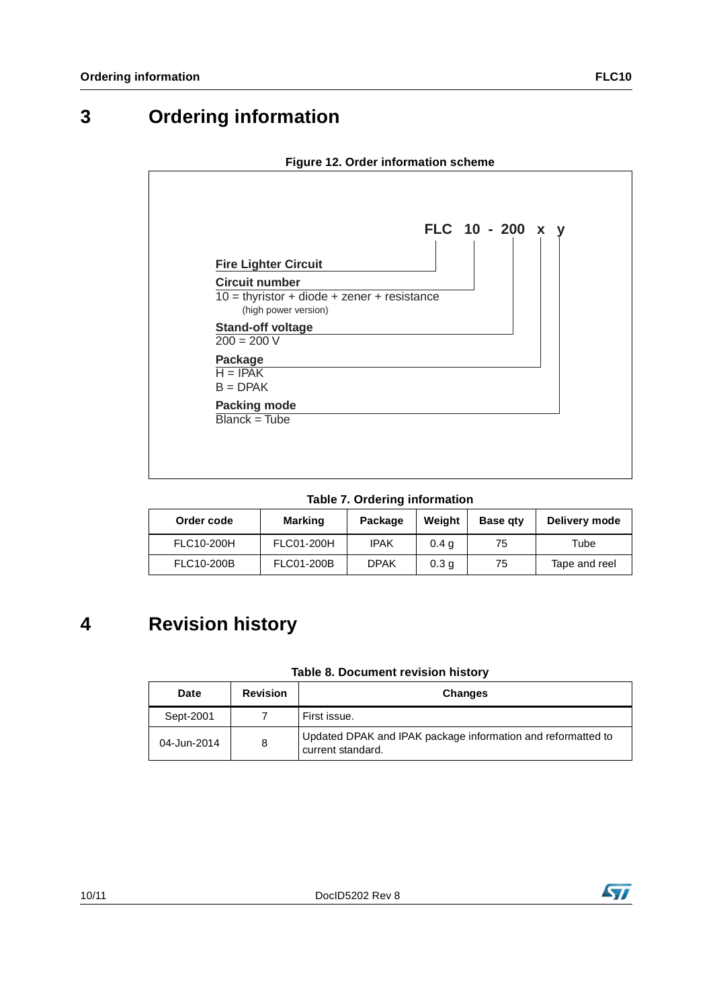### **3 Ordering information**



**Table 7. Ordering information**

| Order code | <b>Marking</b> | Package     | Weight           | <b>Base gty</b> | Delivery mode |
|------------|----------------|-------------|------------------|-----------------|---------------|
| FLC10-200H | FLC01-200H     | <b>IPAK</b> | 0.4 <sub>g</sub> | 75              | $\tau$ ube    |
| FLC10-200B | FLC01-200B     | <b>DPAK</b> | 0.3 <sub>q</sub> | 75              | Tape and reel |

## **4 Revision history**

#### **Table 8. Document revision history**

| Date        | <b>Revision</b> | <b>Changes</b>                                                                    |
|-------------|-----------------|-----------------------------------------------------------------------------------|
| Sept-2001   |                 | First issue.                                                                      |
| 04-Jun-2014 | 8               | Updated DPAK and IPAK package information and reformatted to<br>current standard. |